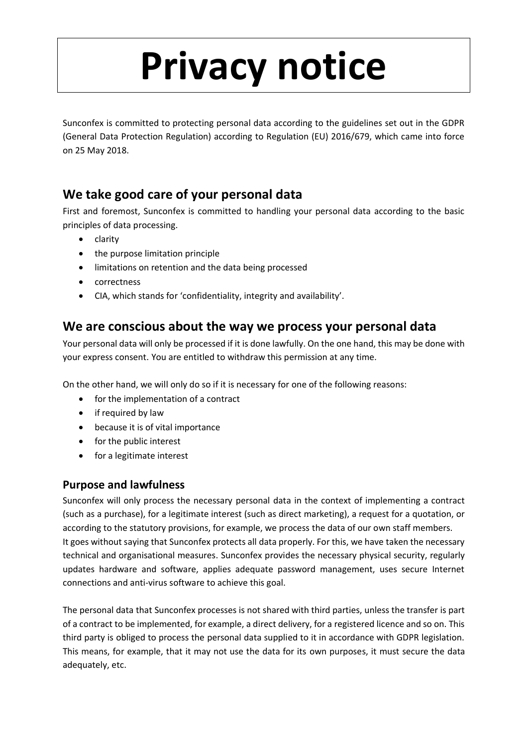# **Privacy notice**

Sunconfex is committed to protecting personal data according to the guidelines set out in the GDPR (General Data Protection Regulation) according to Regulation (EU) 2016/679, which came into force on 25 May 2018.

# **We take good care of your personal data**

First and foremost, Sunconfex is committed to handling your personal data according to the basic principles of data processing.

- clarity
- the purpose limitation principle
- limitations on retention and the data being processed
- correctness
- CIA, which stands for 'confidentiality, integrity and availability'.

## **We are conscious about the way we process your personal data**

Your personal data will only be processed if it is done lawfully. On the one hand, this may be done with your express consent. You are entitled to withdraw this permission at any time.

On the other hand, we will only do so if it is necessary for one of the following reasons:

- for the implementation of a contract
- if required by law
- because it is of vital importance
- for the public interest
- for a legitimate interest

## **Purpose and lawfulness**

Sunconfex will only process the necessary personal data in the context of implementing a contract (such as a purchase), for a legitimate interest (such as direct marketing), a request for a quotation, or according to the statutory provisions, for example, we process the data of our own staff members. It goes without saying that Sunconfex protects all data properly. For this, we have taken the necessary technical and organisational measures. Sunconfex provides the necessary physical security, regularly updates hardware and software, applies adequate password management, uses secure Internet connections and anti-virus software to achieve this goal.

The personal data that Sunconfex processes is not shared with third parties, unless the transfer is part of a contract to be implemented, for example, a direct delivery, for a registered licence and so on. This third party is obliged to process the personal data supplied to it in accordance with GDPR legislation. This means, for example, that it may not use the data for its own purposes, it must secure the data adequately, etc.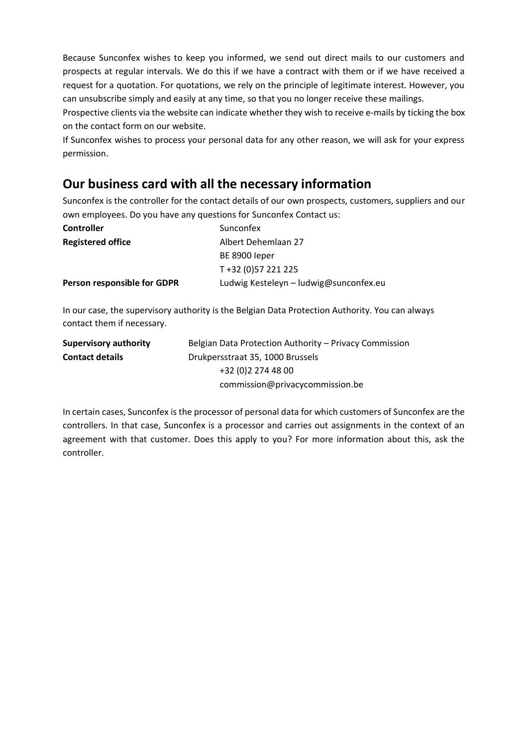Because Sunconfex wishes to keep you informed, we send out direct mails to our customers and prospects at regular intervals. We do this if we have a contract with them or if we have received a request for a quotation. For quotations, we rely on the principle of legitimate interest. However, you can unsubscribe simply and easily at any time, so that you no longer receive these mailings.

Prospective clients via the website can indicate whether they wish to receive e-mails by ticking the box on the contact form on our website.

If Sunconfex wishes to process your personal data for any other reason, we will ask for your express permission.

## **Our business card with all the necessary information**

Sunconfex is the controller for the contact details of our own prospects, customers, suppliers and our own employees. Do you have any questions for Sunconfex Contact us:

| <b>Controller</b>           | Sunconfex                              |
|-----------------------------|----------------------------------------|
| <b>Registered office</b>    | Albert Dehemlaan 27                    |
|                             | BE 8900 leper                          |
|                             | T+32 (0)57 221 225                     |
| Person responsible for GDPR | Ludwig Kesteleyn - ludwig@sunconfex.eu |

In our case, the supervisory authority is the Belgian Data Protection Authority. You can always contact them if necessary.

| <b>Supervisory authority</b> | Belgian Data Protection Authority – Privacy Commission |
|------------------------------|--------------------------------------------------------|
| <b>Contact details</b>       | Drukpersstraat 35, 1000 Brussels                       |
|                              | +32 (0) 2 274 48 00                                    |
|                              | commission@privacycommission.be                        |

In certain cases, Sunconfex is the processor of personal data for which customers of Sunconfex are the controllers. In that case, Sunconfex is a processor and carries out assignments in the context of an agreement with that customer. Does this apply to you? For more information about this, ask the controller.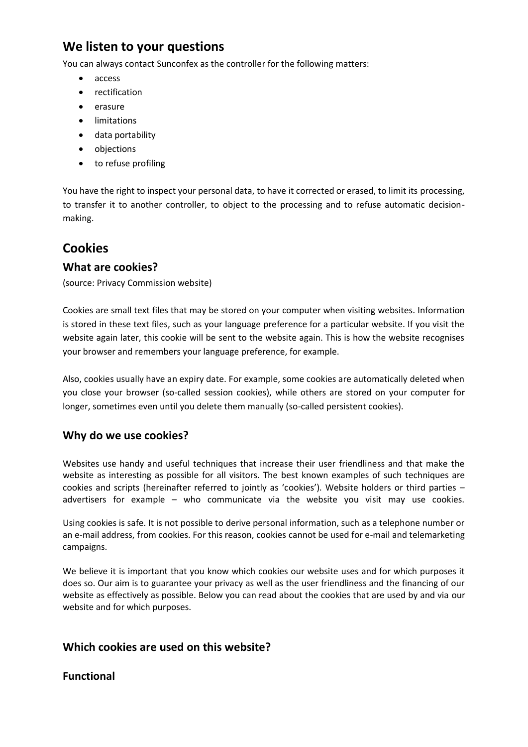# **We listen to your questions**

You can always contact Sunconfex as the controller for the following matters:

- access
- rectification
- erasure
- limitations
- data portability
- objections
- to refuse profiling

You have the right to inspect your personal data, to have it corrected or erased, to limit its processing, to transfer it to another controller, to object to the processing and to refuse automatic decisionmaking.

## **Cookies**

#### **What are cookies?**

(source: Privacy Commission website)

Cookies are small text files that may be stored on your computer when visiting websites. Information is stored in these text files, such as your language preference for a particular website. If you visit the website again later, this cookie will be sent to the website again. This is how the website recognises your browser and remembers your language preference, for example.

Also, cookies usually have an expiry date. For example, some cookies are automatically deleted when you close your browser (so-called session cookies), while others are stored on your computer for longer, sometimes even until you delete them manually (so-called persistent cookies).

#### **Why do we use cookies?**

Websites use handy and useful techniques that increase their user friendliness and that make the website as interesting as possible for all visitors. The best known examples of such techniques are cookies and scripts (hereinafter referred to jointly as 'cookies'). Website holders or third parties – advertisers for example – who communicate via the website you visit may use cookies.

Using cookies is safe. It is not possible to derive personal information, such as a telephone number or an e-mail address, from cookies. For this reason, cookies cannot be used for e-mail and telemarketing campaigns.

We believe it is important that you know which cookies our website uses and for which purposes it does so. Our aim is to guarantee your privacy as well as the user friendliness and the financing of our website as effectively as possible. Below you can read about the cookies that are used by and via our website and for which purposes.

#### **Which cookies are used on this website?**

#### **Functional**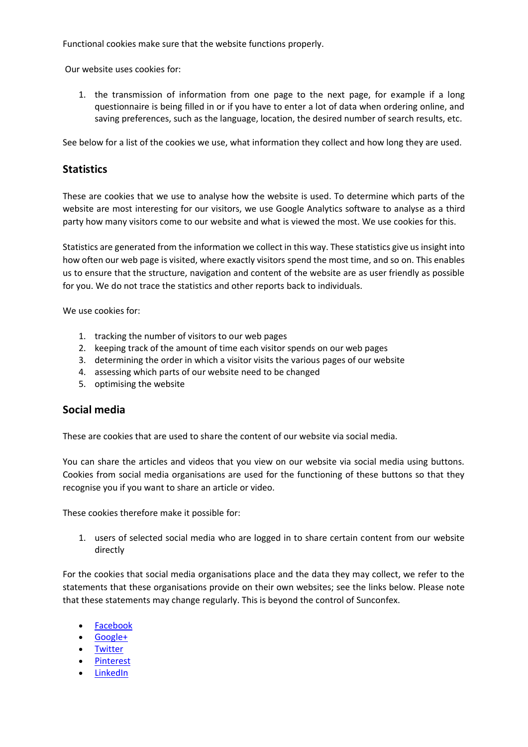Functional cookies make sure that the website functions properly.

Our website uses cookies for:

1. the transmission of information from one page to the next page, for example if a long questionnaire is being filled in or if you have to enter a lot of data when ordering online, and saving preferences, such as the language, location, the desired number of search results, etc.

See below for a list of the cookies we use, what information they collect and how long they are used.

### **Statistics**

These are cookies that we use to analyse how the website is used. To determine which parts of the website are most interesting for our visitors, we use Google Analytics software to analyse as a third party how many visitors come to our website and what is viewed the most. We use cookies for this.

Statistics are generated from the information we collect in this way. These statistics give us insight into how often our web page is visited, where exactly visitors spend the most time, and so on. This enables us to ensure that the structure, navigation and content of the website are as user friendly as possible for you. We do not trace the statistics and other reports back to individuals.

We use cookies for:

- 1. tracking the number of visitors to our web pages
- 2. keeping track of the amount of time each visitor spends on our web pages
- 3. determining the order in which a visitor visits the various pages of our website
- 4. assessing which parts of our website need to be changed
- 5. optimising the website

#### **Social media**

These are cookies that are used to share the content of our website via social media.

You can share the articles and videos that you view on our website via social media using buttons. Cookies from social media organisations are used for the functioning of these buttons so that they recognise you if you want to share an article or video.

These cookies therefore make it possible for:

1. users of selected social media who are logged in to share certain content from our website directly

For the cookies that social media organisations place and the data they may collect, we refer to the statements that these organisations provide on their own websites; see the links below. Please note that these statements may change regularly. This is beyond the control of Sunconfex.

- [Facebook](https://www.facebook.com/about/privacy)
- [Google+](http://www.google.com/intl/nl/policies/privacy/)
- [Twitter](http://twitter.com/privacy)
- [Pinterest](http://pinterest.com/about/privacy/)
- [LinkedIn](http://www.linkedin.com/static?key=privacy_policy&_l=nl_NL)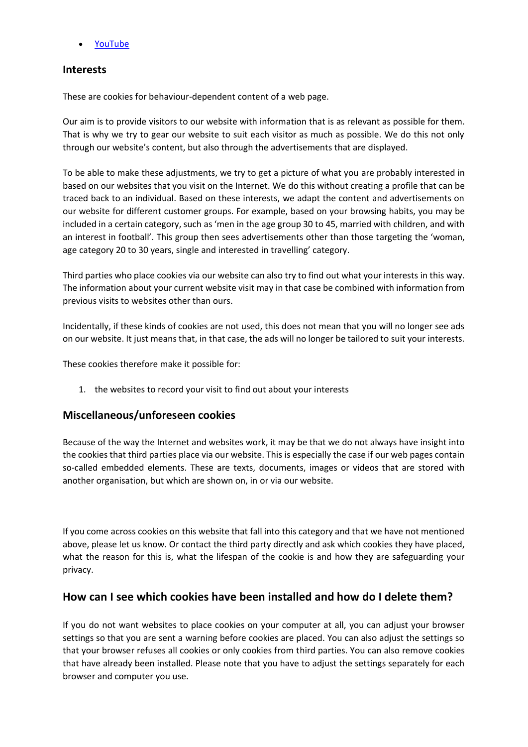• [YouTube](http://www.google.nl/intl/nl/policies/privacy/)

#### **Interests**

These are cookies for behaviour-dependent content of a web page.

Our aim is to provide visitors to our website with information that is as relevant as possible for them. That is why we try to gear our website to suit each visitor as much as possible. We do this not only through our website's content, but also through the advertisements that are displayed.

To be able to make these adjustments, we try to get a picture of what you are probably interested in based on our websites that you visit on the Internet. We do this without creating a profile that can be traced back to an individual. Based on these interests, we adapt the content and advertisements on our website for different customer groups. For example, based on your browsing habits, you may be included in a certain category, such as 'men in the age group 30 to 45, married with children, and with an interest in football'. This group then sees advertisements other than those targeting the 'woman, age category 20 to 30 years, single and interested in travelling' category.

Third parties who place cookies via our website can also try to find out what your interests in this way. The information about your current website visit may in that case be combined with information from previous visits to websites other than ours.

Incidentally, if these kinds of cookies are not used, this does not mean that you will no longer see ads on our website. It just means that, in that case, the ads will no longer be tailored to suit your interests.

These cookies therefore make it possible for:

1. the websites to record your visit to find out about your interests

#### **Miscellaneous/unforeseen cookies**

Because of the way the Internet and websites work, it may be that we do not always have insight into the cookies that third parties place via our website. This is especially the case if our web pages contain so-called embedded elements. These are texts, documents, images or videos that are stored with another organisation, but which are shown on, in or via our website.

If you come across cookies on this website that fall into this category and that we have not mentioned above, please let us know. Or contact the third party directly and ask which cookies they have placed, what the reason for this is, what the lifespan of the cookie is and how they are safeguarding your privacy.

#### **How can I see which cookies have been installed and how do I delete them?**

If you do not want websites to place cookies on your computer at all, you can adjust your browser settings so that you are sent a warning before cookies are placed. You can also adjust the settings so that your browser refuses all cookies or only cookies from third parties. You can also remove cookies that have already been installed. Please note that you have to adjust the settings separately for each browser and computer you use.